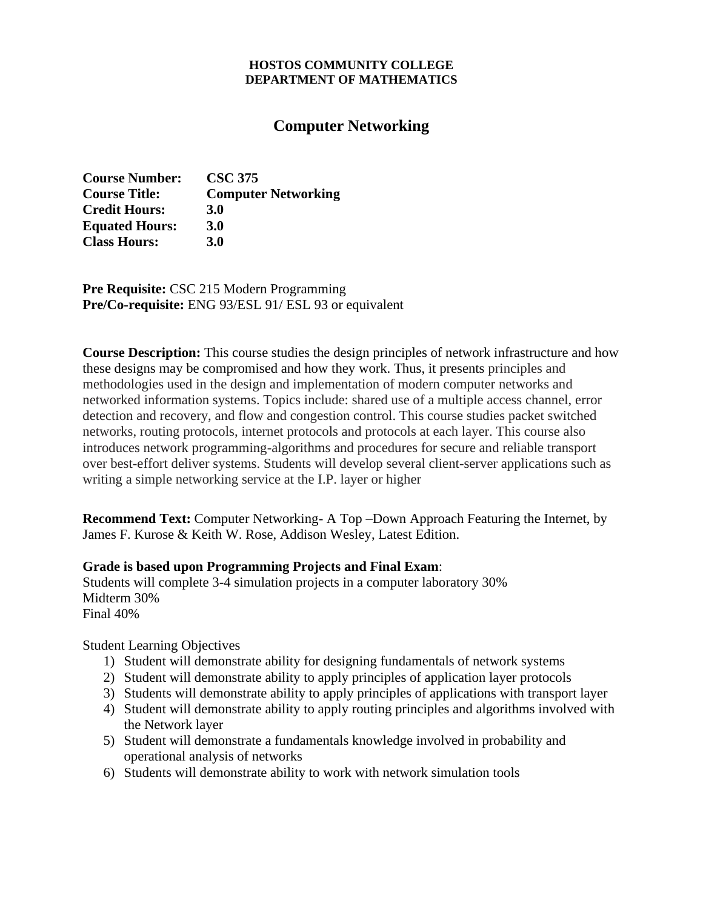#### **HOSTOS COMMUNITY COLLEGE DEPARTMENT OF MATHEMATICS**

# **Computer Networking**

| <b>Course Number:</b> | <b>CSC 375</b>             |
|-----------------------|----------------------------|
| <b>Course Title:</b>  | <b>Computer Networking</b> |
| <b>Credit Hours:</b>  | <b>3.0</b>                 |
| <b>Equated Hours:</b> | <b>3.0</b>                 |
| <b>Class Hours:</b>   | <b>3.0</b>                 |

**Pre Requisite:** CSC 215 Modern Programming **Pre/Co-requisite:** ENG 93/ESL 91/ ESL 93 or equivalent

**Course Description:** This course studies the design principles of network infrastructure and how these designs may be compromised and how they work. Thus, it presents principles and methodologies used in the design and implementation of modern computer networks and networked information systems. Topics include: shared use of a multiple access channel, error detection and recovery, and flow and congestion control. This course studies packet switched networks, routing protocols, internet protocols and protocols at each layer. This course also introduces network programming-algorithms and procedures for secure and reliable transport over best-effort deliver systems. Students will develop several client-server applications such as writing a simple networking service at the I.P. layer or higher

**Recommend Text:** Computer Networking- A Top –Down Approach Featuring the Internet, by James F. Kurose & Keith W. Rose, Addison Wesley, Latest Edition.

## **Grade is based upon Programming Projects and Final Exam**:

Students will complete 3-4 simulation projects in a computer laboratory 30% Midterm 30% Final 40%

## Student Learning Objectives

- 1) Student will demonstrate ability for designing fundamentals of network systems
- 2) Student will demonstrate ability to apply principles of application layer protocols
- 3) Students will demonstrate ability to apply principles of applications with transport layer
- 4) Student will demonstrate ability to apply routing principles and algorithms involved with the Network layer
- 5) Student will demonstrate a fundamentals knowledge involved in probability and operational analysis of networks
- 6) Students will demonstrate ability to work with network simulation tools